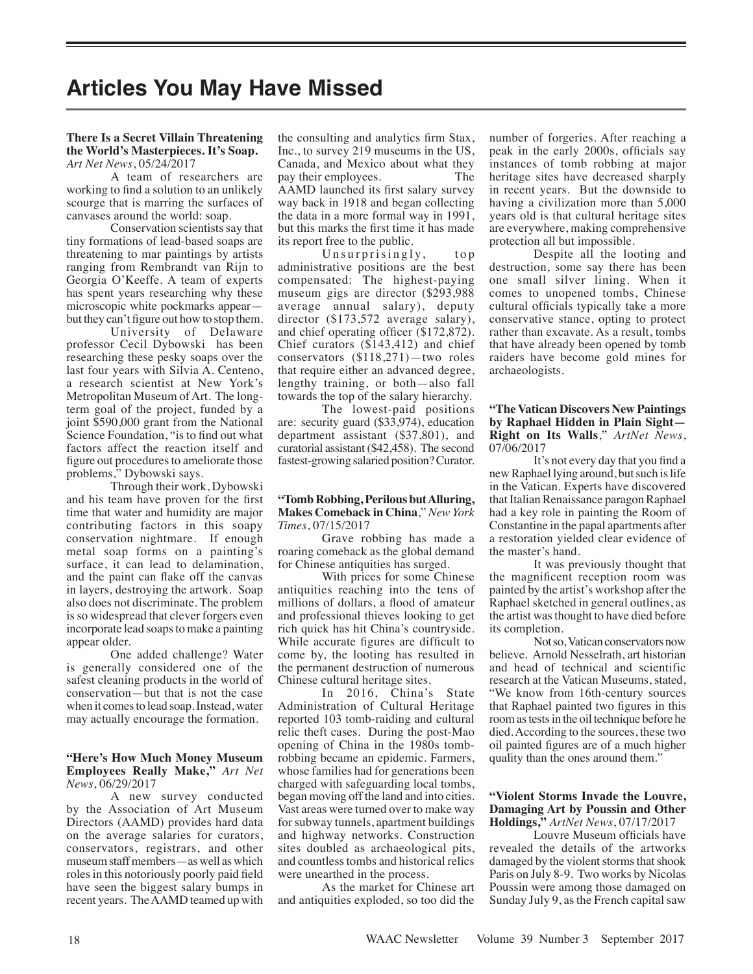# **Articles You May Have Missed**

#### **There Is a Secret Villain Threatening the World's Masterpieces. It's Soap.** *Art Net News*, 05/24/2017

A team of researchers are working to find a solution to an unlikely scourge that is marring the surfaces of canvases around the world: soap.

Conservation scientists say that tiny formations of lead-based soaps are threatening to mar paintings by artists ranging from Rembrandt van Rijn to Georgia O'Keeffe. A team of experts has spent years researching why these microscopic white pockmarks appear but they can't figure out how to stop them.

University of Delaware professor Cecil Dybowski has been researching these pesky soaps over the last four years with Silvia A. Centeno, a research scientist at New York's Metropolitan Museum of Art. The longterm goal of the project, funded by a joint \$590,000 grant from the National Science Foundation, "is to find out what factors affect the reaction itself and figure out procedures to ameliorate those problems," Dybowski says.

Through their work, Dybowski and his team have proven for the first time that water and humidity are major contributing factors in this soapy conservation nightmare. If enough metal soap forms on a painting's surface, it can lead to delamination, and the paint can flake off the canvas in layers, destroying the artwork. Soap also does not discriminate. The problem is so widespread that clever forgers even incorporate lead soaps to make a painting appear older.

One added challenge? Water is generally considered one of the safest cleaning products in the world of conservation—but that is not the case when it comes to lead soap. Instead, water may actually encourage the formation.

#### **"Here's How Much Money Museum Employees Really Make,"** *Art Net News*, 06/29/2017

A new survey conducted by the Association of Art Museum Directors (AAMD) provides hard data on the average salaries for curators, conservators, registrars, and other museum staff members—as well as which roles in this notoriously poorly paid field have seen the biggest salary bumps in recent years. The AAMD teamed up with the consulting and analytics firm Stax, Inc., to survey 219 museums in the US, Canada, and Mexico about what they pay their employees. The AAMD launched its first salary survey way back in 1918 and began collecting the data in a more formal way in 1991, but this marks the first time it has made its report free to the public.

Unsurprisingly, top administrative positions are the best compensated: The highest-paying museum gigs are director (\$293,988 average annual salary), deputy director (\$173,572 average salary), and chief operating officer (\$172,872). Chief curators (\$143,412) and chief conservators (\$118,271)—two roles that require either an advanced degree, lengthy training, or both—also fall towards the top of the salary hierarchy.

The lowest-paid positions are: security guard (\$33,974), education department assistant (\$37,801), and curatorial assistant (\$42,458). The second fastest-growing salaried position? Curator.

#### **"Tomb Robbing, Perilous but Alluring, Makes Comeback in China**," *New York Times*, 07/15/2017

Grave robbing has made a roaring comeback as the global demand for Chinese antiquities has surged.

With prices for some Chinese antiquities reaching into the tens of millions of dollars, a flood of amateur and professional thieves looking to get rich quick has hit China's countryside. While accurate figures are difficult to come by, the looting has resulted in the permanent destruction of numerous Chinese cultural heritage sites.

In 2016, China's State Administration of Cultural Heritage reported 103 tomb-raiding and cultural relic theft cases. During the post-Mao opening of China in the 1980s tombrobbing became an epidemic. Farmers, whose families had for generations been charged with safeguarding local tombs, began moving off the land and into cities. Vast areas were turned over to make way for subway tunnels, apartment buildings and highway networks. Construction sites doubled as archaeological pits, and countless tombs and historical relics were unearthed in the process.

As the market for Chinese art and antiquities exploded, so too did the number of forgeries. After reaching a peak in the early 2000s, officials say instances of tomb robbing at major heritage sites have decreased sharply in recent years. But the downside to having a civilization more than 5,000 years old is that cultural heritage sites are everywhere, making comprehensive protection all but impossible.

Despite all the looting and destruction, some say there has been one small silver lining. When it comes to unopened tombs, Chinese cultural officials typically take a more conservative stance, opting to protect rather than excavate. As a result, tombs that have already been opened by tomb raiders have become gold mines for archaeologists.

# **"The Vatican Discovers New Paintings by Raphael Hidden in Plain Sight— Right on Its Walls**," *ArtNet News*, 07/06/2017

It's not every day that you find a new Raphael lying around, but such is life in the Vatican. Experts have discovered that Italian Renaissance paragon Raphael had a key role in painting the Room of Constantine in the papal apartments after a restoration yielded clear evidence of the master's hand.

It was previously thought that the magnificent reception room was painted by the artist's workshop after the Raphael sketched in general outlines, as the artist was thought to have died before its completion.

Not so, Vatican conservators now believe. Arnold Nesselrath, art historian and head of technical and scientific research at the Vatican Museums, stated, "We know from 16th-century sources that Raphael painted two figures in this room as tests in the oil technique before he died. According to the sources, these two oil painted figures are of a much higher quality than the ones around them."

# **"Violent Storms Invade the Louvre, Damaging Art by Poussin and Other Holdings,"** *ArtNet News*, 07/17/2017

Louvre Museum officials have revealed the details of the artworks damaged by the violent storms that shook Paris on July 8-9. Two works by Nicolas Poussin were among those damaged on Sunday July 9, as the French capital saw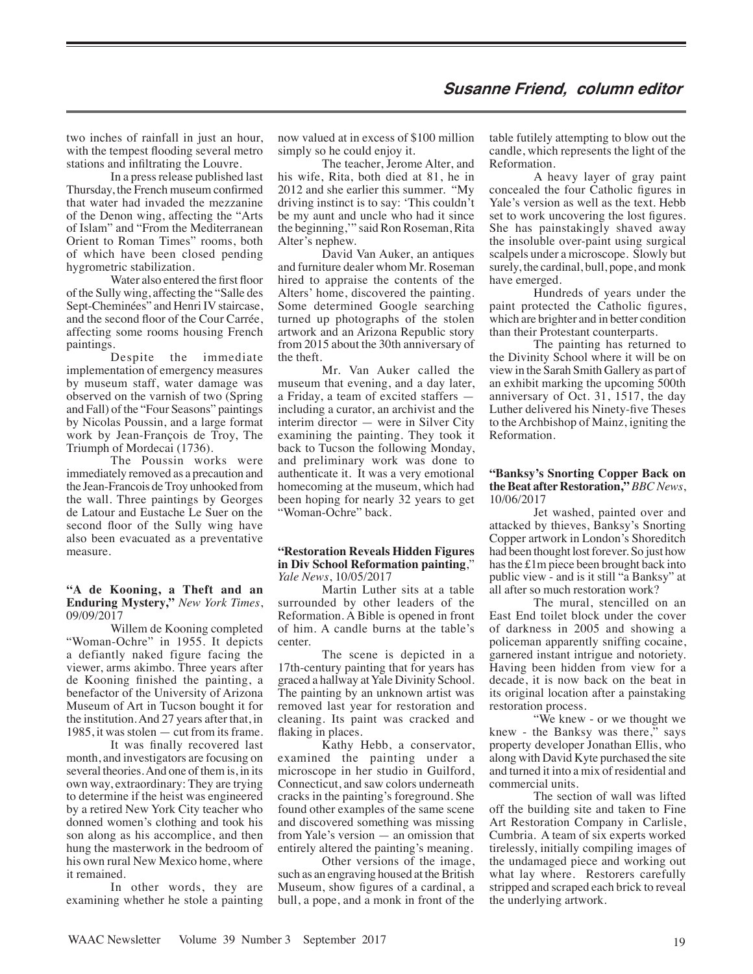# **Susanne Friend, column editor**

two inches of rainfall in just an hour, with the tempest flooding several metro stations and infiltrating the Louvre.

In a press release published last Thursday, the French museum confirmed that water had invaded the mezzanine of the Denon wing, affecting the "Arts of Islam" and "From the Mediterranean Orient to Roman Times" rooms, both of which have been closed pending hygrometric stabilization.

Water also entered the first floor of the Sully wing, affecting the "Salle des Sept-Cheminées" and Henri IV staircase, and the second floor of the Cour Carrée, affecting some rooms housing French paintings.

Despite the immediate implementation of emergency measures by museum staff, water damage was observed on the varnish of two (Spring and Fall) of the "Four Seasons" paintings by Nicolas Poussin, and a large format work by Jean-François de Troy, The Triumph of Mordecai (1736).

The Poussin works were immediately removed as a precaution and the Jean-Francois de Troy unhooked from the wall. Three paintings by Georges de Latour and Eustache Le Suer on the second floor of the Sully wing have also been evacuated as a preventative measure.

#### **"A de Kooning, a Theft and an Enduring Mystery,"** *New York Times*, 09/09/2017

Willem de Kooning completed "Woman-Ochre" in 1955. It depicts a defiantly naked figure facing the viewer, arms akimbo. Three years after de Kooning finished the painting, a benefactor of the University of Arizona Museum of Art in Tucson bought it for the institution. And 27 years after that, in 1985, it was stolen — cut from its frame.

It was finally recovered last month, and investigators are focusing on several theories. And one of them is, in its own way, extraordinary: They are trying to determine if the heist was engineered by a retired New York City teacher who donned women's clothing and took his son along as his accomplice, and then hung the masterwork in the bedroom of his own rural New Mexico home, where it remained.

In other words, they are examining whether he stole a painting

now valued at in excess of \$100 million simply so he could enjoy it.

The teacher, Jerome Alter, and his wife, Rita, both died at 81, he in 2012 and she earlier this summer. "My driving instinct is to say: 'This couldn't be my aunt and uncle who had it since the beginning,'" said Ron Roseman, Rita Alter's nephew.

David Van Auker, an antiques and furniture dealer whom Mr. Roseman hired to appraise the contents of the Alters' home, discovered the painting. Some determined Google searching turned up photographs of the stolen artwork and an Arizona Republic story from 2015 about the 30th anniversary of the theft.

Mr. Van Auker called the museum that evening, and a day later, a Friday, a team of excited staffers including a curator, an archivist and the interim director — were in Silver City examining the painting. They took it back to Tucson the following Monday, and preliminary work was done to authenticate it. It was a very emotional homecoming at the museum, which had been hoping for nearly 32 years to get "Woman-Ochre" back.

#### **"Restoration Reveals Hidden Figures in Div School Reformation painting**," *Yale News*, 10/05/2017

Martin Luther sits at a table surrounded by other leaders of the Reformation. A Bible is opened in front of him. A candle burns at the table's center.

The scene is depicted in a 17th-century painting that for years has graced a hallway at Yale Divinity School. The painting by an unknown artist was removed last year for restoration and cleaning. Its paint was cracked and flaking in places.

Kathy Hebb, a conservator, examined the painting under a microscope in her studio in Guilford, Connecticut, and saw colors underneath cracks in the painting's foreground. She found other examples of the same scene and discovered something was missing from Yale's version — an omission that entirely altered the painting's meaning.

Other versions of the image, such as an engraving housed at the British Museum, show figures of a cardinal, a bull, a pope, and a monk in front of the table futilely attempting to blow out the candle, which represents the light of the Reformation.

A heavy layer of gray paint concealed the four Catholic figures in Yale's version as well as the text. Hebb set to work uncovering the lost figures. She has painstakingly shaved away the insoluble over-paint using surgical scalpels under a microscope. Slowly but surely, the cardinal, bull, pope, and monk have emerged.

Hundreds of years under the paint protected the Catholic figures, which are brighter and in better condition than their Protestant counterparts.

The painting has returned to the Divinity School where it will be on view in the Sarah Smith Gallery as part of an exhibit marking the upcoming 500th anniversary of Oct. 31, 1517, the day Luther delivered his Ninety-five Theses to the Archbishop of Mainz, igniting the Reformation.

#### **"Banksy's Snorting Copper Back on the Beat after Restoration,"** *BBC News*, 10/06/2017

Jet washed, painted over and attacked by thieves, Banksy's Snorting Copper artwork in London's Shoreditch had been thought lost forever. So just how has the £1m piece been brought back into public view - and is it still "a Banksy" at all after so much restoration work?

The mural, stencilled on an East End toilet block under the cover of darkness in 2005 and showing a policeman apparently sniffing cocaine, garnered instant intrigue and notoriety. Having been hidden from view for a decade, it is now back on the beat in its original location after a painstaking restoration process.

"We knew - or we thought we knew - the Banksy was there, $\overline{N}$  says property developer Jonathan Ellis, who along with David Kyte purchased the site and turned it into a mix of residential and commercial units.

The section of wall was lifted off the building site and taken to Fine Art Restoration Company in Carlisle, Cumbria. A team of six experts worked tirelessly, initially compiling images of the undamaged piece and working out what lay where. Restorers carefully stripped and scraped each brick to reveal the underlying artwork.